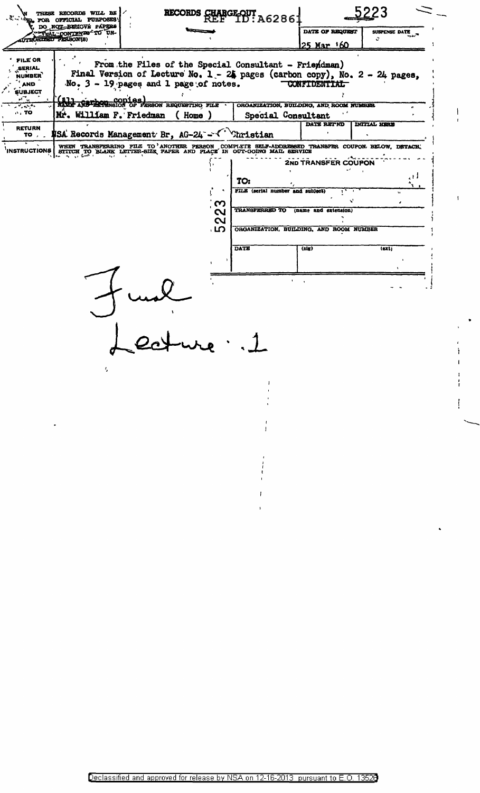| THESE RECORDS WILL BE<br>"TO FOR OFFICIAL PURPOSES<br>DO NOT BELIGVE PAPERS<br><b>PETUAL CONTENTS TO UN-</b> |                                                                                                                          | RECORDS GHARGE-OUT A6286                                                                                                                                                                                                            |                                         | 5223                                    |                     |
|--------------------------------------------------------------------------------------------------------------|--------------------------------------------------------------------------------------------------------------------------|-------------------------------------------------------------------------------------------------------------------------------------------------------------------------------------------------------------------------------------|-----------------------------------------|-----------------------------------------|---------------------|
|                                                                                                              |                                                                                                                          |                                                                                                                                                                                                                                     |                                         | DATE OF REQUEST                         | SUSPENSE DATE       |
|                                                                                                              | HURIZED PERSON(S)                                                                                                        |                                                                                                                                                                                                                                     |                                         | <u> 25 Mar 160</u>                      | Ù.                  |
| <b>FILE OR</b><br>SERIAL<br><b>NUMBER</b><br>AND<br><b>SUBJECT</b><br>$\mathbf{v}_i = \mathbf{v}_i$          |                                                                                                                          | From the Files of the Special Consultant - Friemdman)<br>Final Version of Lecture No. 1 - 24 pages (carbon copy), No. 2 - 24 pages,<br>No. 3 - 19 pages and 1 page of notes.<br>(11)<br>NAME ARBIERNEMENT OF PERSON REQUESTING FILE | ORGANIZATION, BUILDING, AND ROOM NUMBER | <b>CONFIDENTIAL</b>                     |                     |
| $\cdot$ TO                                                                                                   | Mr. William F. Friedman<br>(Home)<br>Special Consultant                                                                  |                                                                                                                                                                                                                                     |                                         |                                         |                     |
| <b>RETURN</b><br>TO , _                                                                                      |                                                                                                                          | <b>\$SA</b> Records Management Br, AG-24 - I' Christian                                                                                                                                                                             |                                         | DATE RET ND                             | <b>INITIAL HERE</b> |
| <b>INSTRUCTIONS</b>                                                                                          | WHEN TRANSFERRING FILE TO ANOTHER PERSON COMPLETE SELF-ADDRESSED TRANSFER COUPON BELOW, DETACH, STITCH TO BLACK, DETACH, |                                                                                                                                                                                                                                     |                                         |                                         |                     |
|                                                                                                              |                                                                                                                          |                                                                                                                                                                                                                                     | <b>2ND TRANSFER COUPON</b>              |                                         |                     |
|                                                                                                              |                                                                                                                          |                                                                                                                                                                                                                                     |                                         |                                         |                     |
|                                                                                                              |                                                                                                                          |                                                                                                                                                                                                                                     | TO:<br>FILE (serial number and subject) |                                         |                     |
|                                                                                                              |                                                                                                                          |                                                                                                                                                                                                                                     |                                         | v                                       |                     |
|                                                                                                              |                                                                                                                          | ო<br>N<br>$\mathbf{\Omega}$                                                                                                                                                                                                         | <b>TRANSFERRED TO</b>                   | (name and extension)                    |                     |
|                                                                                                              |                                                                                                                          | . ဟ                                                                                                                                                                                                                                 |                                         | ORGANIZATION, BUILDING, AND ROOM NUMBER |                     |
|                                                                                                              |                                                                                                                          |                                                                                                                                                                                                                                     | <b>DATE</b>                             | (sig)                                   | (ext)               |
|                                                                                                              |                                                                                                                          |                                                                                                                                                                                                                                     |                                         |                                         |                     |
|                                                                                                              |                                                                                                                          |                                                                                                                                                                                                                                     |                                         |                                         |                     |
|                                                                                                              |                                                                                                                          |                                                                                                                                                                                                                                     |                                         |                                         |                     |
|                                                                                                              |                                                                                                                          |                                                                                                                                                                                                                                     |                                         |                                         |                     |
|                                                                                                              |                                                                                                                          |                                                                                                                                                                                                                                     |                                         |                                         |                     |
|                                                                                                              |                                                                                                                          |                                                                                                                                                                                                                                     |                                         |                                         |                     |
|                                                                                                              |                                                                                                                          |                                                                                                                                                                                                                                     |                                         |                                         |                     |
|                                                                                                              |                                                                                                                          |                                                                                                                                                                                                                                     |                                         |                                         |                     |
|                                                                                                              |                                                                                                                          |                                                                                                                                                                                                                                     |                                         |                                         |                     |
|                                                                                                              |                                                                                                                          |                                                                                                                                                                                                                                     |                                         |                                         |                     |

 $\mathbf{I}% _{0}\left( \mathbf{I}_{0}\right)$ 

Ť

 $\mathbf{I}$ ï

Ł

 $\mathbf{I}$ 

ţ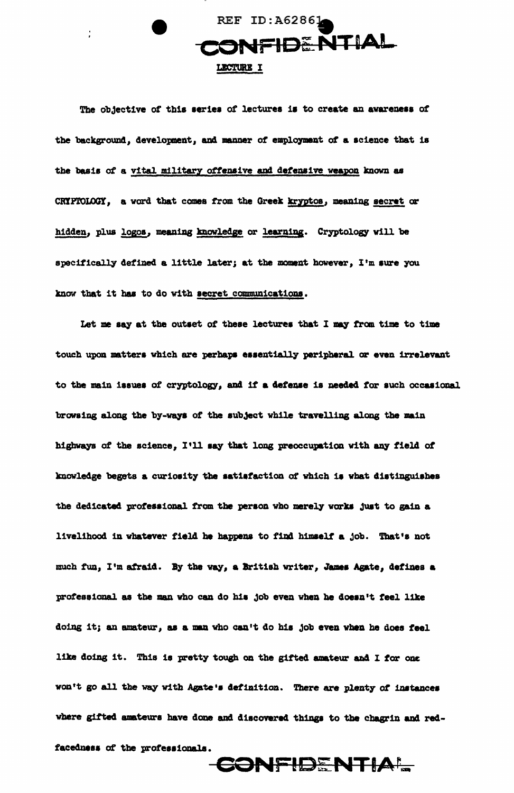

The objective of this series of lectures is to create an avareness of the background, development, and manner of employment of a science that is the basis of a vital military offensive and defensive weapon known as CRIPTOLOGY, a word that comes from the Greek kryptos, meaning secret or hidden, plus logos, meaning knowledge or learning. Cryptology will be specifically defined a little later; at the moment however, I'm sure you know that it has to do with secret communications.

Let me say at the outset of these lectures that I may from time to time touch upon matters which are perhaps essentially peripheral or even irrelevant to the main issues of cryptology, and if a defense is needed for such occasional browsing along the by-ways of the subject while travelling along the main highways of the science, I'll say that long preoccupation with any field of knowledge begets a curiosity the satisfaction of which is what distinguishes the dedicated professional from the person who merely works just to gain a livelihood in whatever field he happens to find himself a job. That's not much fun, I'm afraid. By the way, a British writer, James Agate, defines a professional as the man who can do his job even when he doesn't feel like doing it; an amateur, as a man who can't do his job even when he does feel like doing it. This is pretty tough on the gifted amateur and I for one won't go all the way with Agate's definition. There are plenty of instances where gifted amateurs have done and discovered things to the chagrin and redfacedness of the professionals.

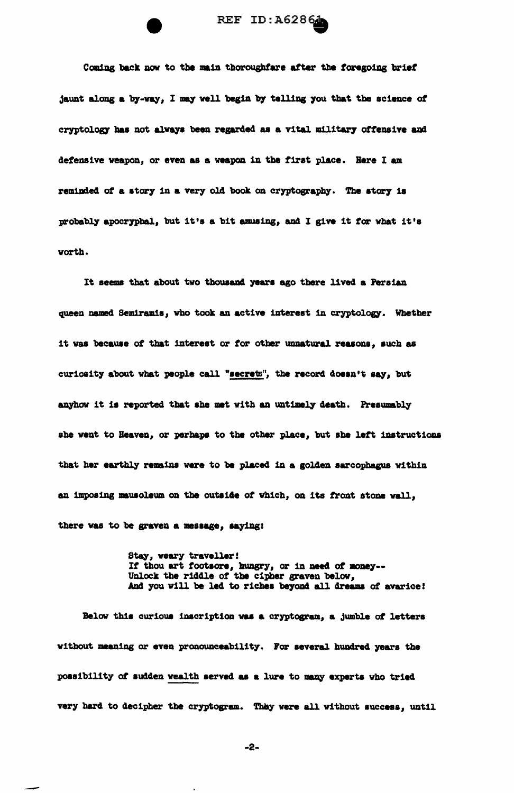

Coming back now to the main thoroughfare after the foregoing brief jaunt along a by-way, I may well begin by telling you that the science of cryptology has not always been regarded as a vital military offensive and defensive weapon, or even as a weapon in the first place. Here I am reminded of a story in a very old book on cryptography. The story is probably apocryphal, but it's a bit amusing, and I give it for what it's worth.

It seems that about two thousand years ago there lived a Persian queen named Semiramis, who took an active interest in cryptology. Whether it was because of that interest or for other unnatural reasons, such as curiosity about what people call "secrets", the record doesn't say, but anyhow it is reported that she met with an untimely death. Presumably she went to Heaven, or perhaps to the other place, but she left instructions that her earthly remains were to be placed in a golden sarcophagus within an imposing mauscleum on the outside of which, on its front stone wall. there was to be graven a message, saying:

> Stay, weary traveller! If thou art footsore, hungry, or in need of money--Unlock the riddle of the cipher graven below, And you will be led to riches beyond all dreams of avarice!

Below this curious inscription was a cryptogram, a jumble of letters without meaning or even pronounceability. For several hundred years the possibility of sudden wealth served as a lure to many experts who tried very hard to decipher the cryptogram. They were all without success, until

 $-2-$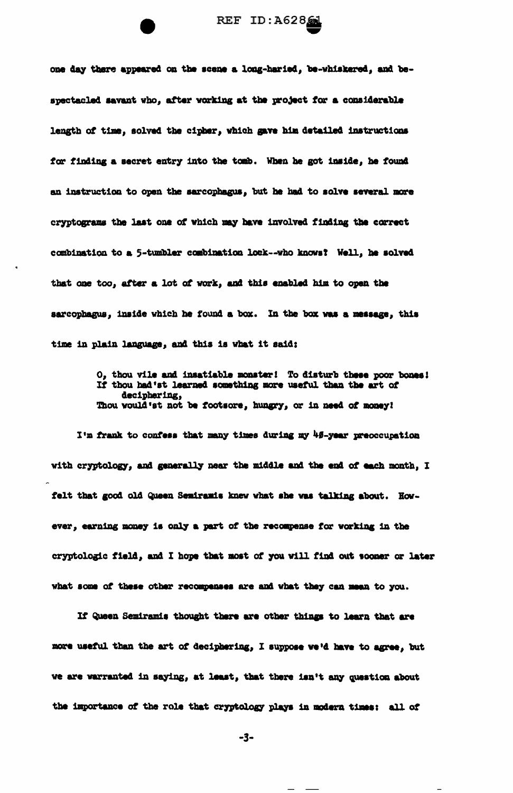one day there appeared on the scene a long-haried, be-whiskered, and bespectacled savant who, after working at the project for a considerable length of time, solved the cipher, which gave him detailed instructions for finding a secret entry into the tomb. When he got inside, he found an instruction to open the sarcophagus, but he had to solve several more cryptograms the last one of which may have involved finding the correct combination to a 5-tumbler combination lock--who knows? Well, he solved that one too, after a lot of work, and this enabled him to open the sarcophagus, inside which he found a box. In the box was a message, this time in plain language, and this is what it said:

> O, thou vile and insatiable monster! To disturb these poor bones! If thou had'st learned something more useful than the art of deciphering, Thou would'st not be footsore, hungry, or in need of money!

I'm frank to confess that many times during my 45-year preoccupation with cryptology, and generally near the middle and the end of each month, I felt that good old Queen Semiramis knew what she was talking about. However, earning money is only a part of the recompense for working in the cryptologic field, and I hope that most of you will find out sooner or later what some of these other recompenses are and what they can mean to you.

If Queen Semiramis thought there are other things to learn that are more useful than the art of deciphering, I suppose we'd have to agree, but we are warranted in saying, at least, that there isn't any question about the importance of the role that cryptology plays in modern times: all of

-3-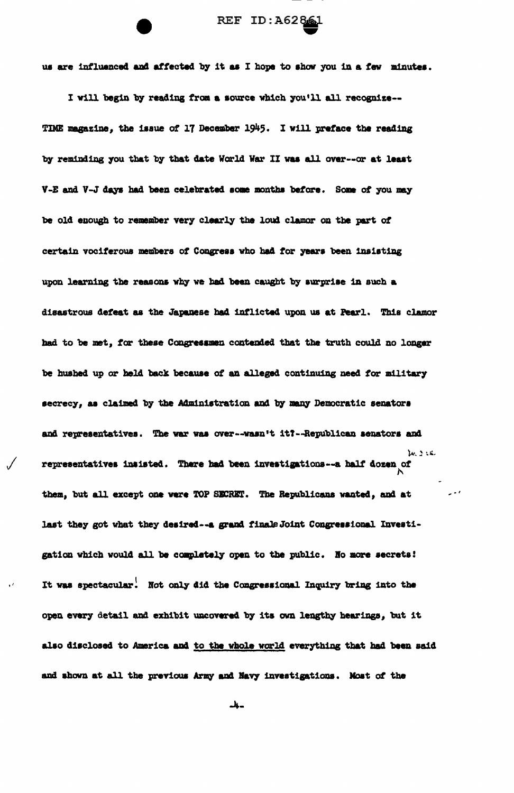

us are influenced and affected by it as I hope to show you in a few minutes.

I will begin by reading from a source which you'll all recognize--TIME magazine, the issue of 17 December 1945. I will preface the reading by reminding you that by that date World War II was all over--or at least V-E and V-J days had been celebrated some months before. Some of you may be old enough to remember very clearly the loud clamor on the part of certain vociferous members of Congress who had for years been insisting upon learning the reasons why we had been caught by surprise in such a disastrous defeat as the Japanese had inflicted upon us at Pearl. This clamor had to be met, for these Congressmen contended that the truth could no longer be hushed up or held back because of an alleged continuing need for military secrecy, as claimed by the Administration and by many Democratic senators and representatives. The war was over--wasn't it?--Republican senators and M. J.S. representatives insisted. There had been investigations--a half dozen of them, but all except one were TOP SECRET. The Republicans wanted, and at last they got what they desired -- a grand finale Joint Congressional Investigation which would all be completely open to the public. No more secrets! It was spectacular. Not only did the Congressional Inquiry bring into the open every detail and exhibit uncovered by its own lengthy hearings, but it also disclosed to America and to the whole world everything that had been said and shown at all the previous Army and Navy investigations. Nost of the

-4-

 $\bar{\epsilon}$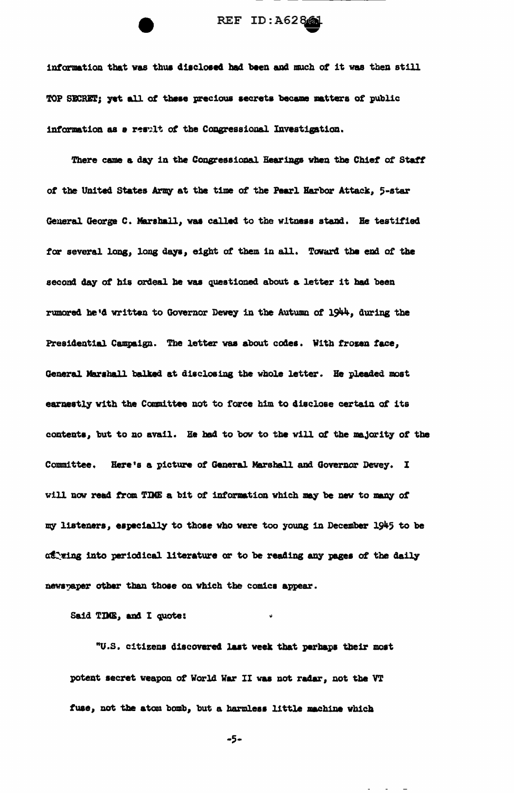## REF ID: A62861

information that was thus disclosed had been and much of it was then still TOP SECRET; yet all of these precious secrets became matters of public information as a result of the Congressional Investigation.

There came a day in the Congressional Hearings when the Chief of Staff of the United States Army at the time of the Pearl Harbor Attack, 5-star General George C. Marshall, was called to the witness stand. He testified for several long, long days, eight of them in all. Toward the end of the second day of his ordeal he was questioned about a letter it had been rumored he'd written to Governor Dewey in the Autumn of 1944, during the Presidential Campaign. The letter was about codes. With frozen face, General Marshall balked at disclosing the whole letter. He pleaded most earnestly with the Committee not to force him to disclose certain of its contents, but to no avail. He had to bow to the will of the majority of the Committee. Here's a picture of General Marshall and Governor Dewey. I will now read from TD4E a bit of information which may be new to many of my listeners, especially to those who were too young in December 1945 to be attring into periodical literature or to be reading any pages of the daily newspaper other than those on which the comics appear.

Said TDOE, and I quote:

"U.S. citizens discovered last week that perhaps their most potent secret weapon of World War II was not radar, not the VT fuse, not the atom bomb, but a harmless little machine which

 $-5-$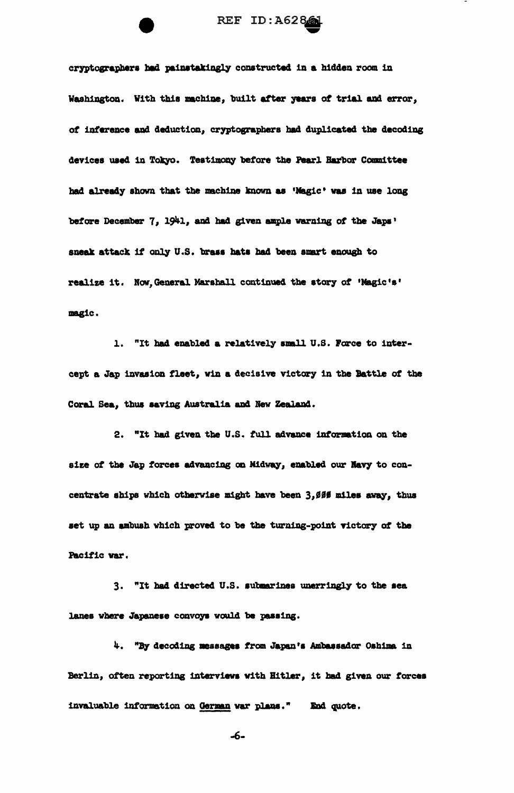cryptographers had painstakingly constructed in a hidden room in Washington. With this machine, built after years of trial and error, of inference and deduction, cryptographers had duplicated the decoding devices used in Tokyo. Testimony before the Pearl Harbor Committee had already shown that the machine known as 'Magic' was in use long before December 7, 1941, and had given ample warning of the Japs' sneak attack if only U.S. brass hats had been smart enough to realize it. Now, General Marshall continued the story of 'Magic's' magic.

1. "It had enabled a relatively small U.S. Force to intercept a Jap invasion fleet, win a decisive victory in the Battle of the Coral Sea, thus saving Australia and New Zealand.

2. "It had given the U.S. full advance information on the size of the Jap forces advancing on Midway, enabled our Navy to concentrate ships which otherwise might have been 3,000 miles away, thus set up an ambush which proved to be the turning-point victory of the Pacific war.

3. "It had directed U.S. submarines unerringly to the sea lanes where Japanese convoys would be passing.

4. "By decoding messages from Japan's Ambassador Oshima in Berlin, often reporting interviews with Hitler, it had given our forces invaluable information on German war plans." End quote.

-6-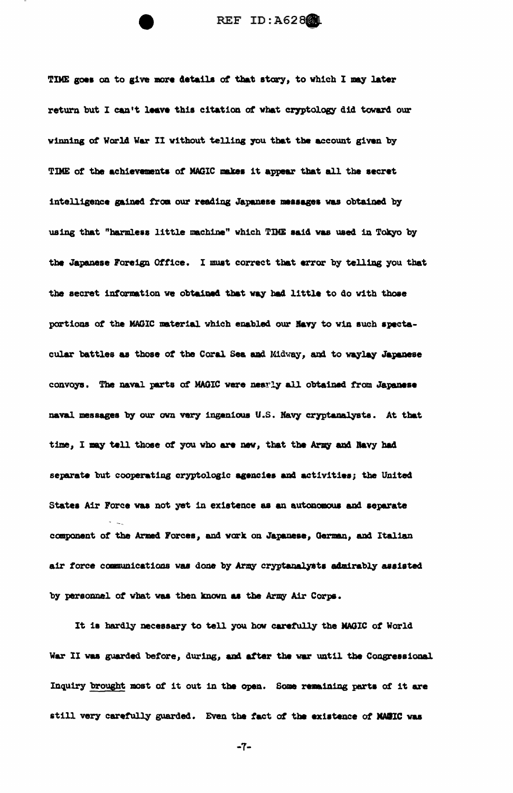TIME goes on to give more details of that story, to which I may later return but I can't leave this citation of what cryptology did toward our winning of World War II without telling you that the account given by TIME of the achievements of MAGIC makes it appear that all the secret intelligence gained from our reading Japanese messages was obtained by using that "harmless little machine" which TIME said was used in Tokyo by the Japanese Foreign Office. I must correct that error by telling you that the secret information we obtained that way had little to do with those portions of the MAGIC material which enabled our Navy to win such spectacular battles as those of the Coral Sea and Midway, and to waylay Japanese convoys. The naval parts of MAGIC were nearly all obtained from Japanese naval messages by our own very ingenious U.S. Navy cryptanalysts. At that time, I may tell those of you who are new, that the Army and Navy had separate but cooperating cryptologic agencies and activities; the United States Air Force was not yet in existence as an autonomous and separate component of the Armed Forces, and work on Japanese, German, and Italian air force communications was done by Army cryptanalysts admirably assisted by personnel of what was then known as the Army Air Corps.

It is hardly necessary to tell you how carefully the MAGIC of World War II was guarded before, during, and after the war until the Congressional Inquiry brought most of it out in the open. Some remaining parts of it are still very carefully guarded. Even the fact of the existence of NAMIC was

 $-7-$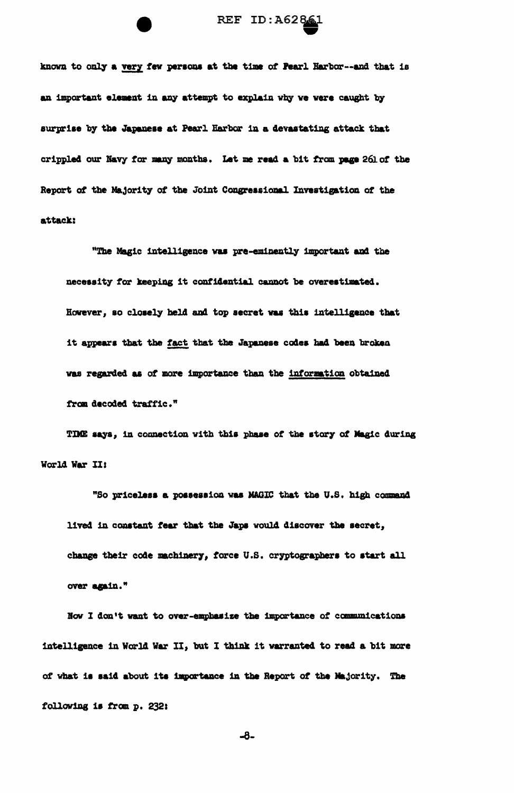

known to only a very few persons at the time of Pearl Harbor--and that is an important element in any attempt to explain why we were caught by surprise by the Japanese at Pearl Harbor in a devastating attack that crippled our Navy for many months. Let me read a bit from page 261 of the Report of the Majority of the Joint Congressional Investigation of the attack:

"The Magic intelligence was pre-eminently important and the necessity for keeping it confidential cannot be overestimated. However, so closely held and top secret was this intelligence that it appears that the fact that the Japanese codes had been broken was regarded as of more importance than the information obtained from decoded traffic."

TIME says, in connection with this phase of the story of Magic during World War II:

"So priceless a possession was MAGIC that the U.S. high command lived in constant fear that the Japs would discover the secret, change their code machinery, force U.S. cryptographers to start all over again."

Now I don't want to over-emphasize the importance of communications intelligence in World War II, but I think it warranted to read a bit more of what is said about its importance in the Report of the Majority. The following is from p. 232:

 $-8-$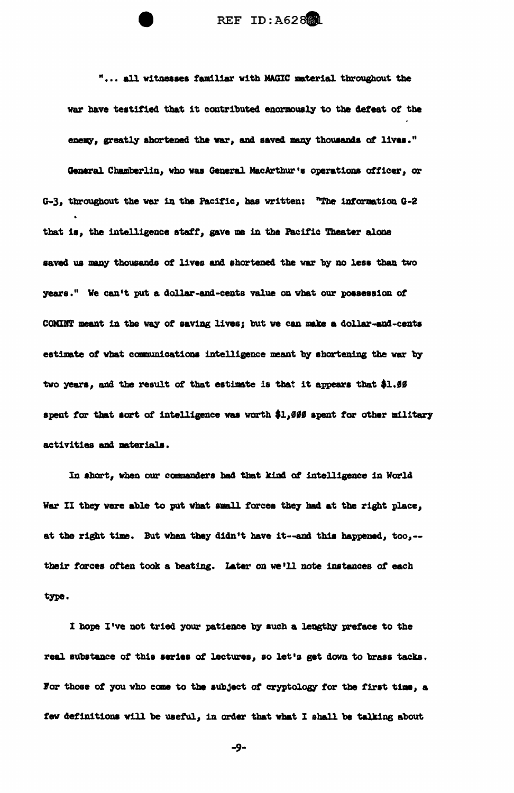REF ID: A628

"... all witnesses familiar with MAGIC material throughout the war have testified that it contributed enormously to the defeat of the enexy, greatly shortened the war, and saved many thousands of lives." General Chamberlin, who was General MacArthur's operations officer, or  $G-3$ , throughout the war in the Pacific, has written: "The information  $G-2$ that is, the intelligence staff, gave me in the Pacific Theater alone saved us many thousands of lives and shortened the war by no less than two years." We can't put a dollar-and-cents value on what our possession of COMINT meant in the way of saving lives; but we can make a dollar-and-cents estimate of what communications intelligence meant by shortening the war by two years, and the result of that estimate is that it appears that \$1.99 spent for that sort of intelligence was worth \$1,000 spent for other military activities and materials.

In short, when our commanders had that kind of intelligence in World War II they were able to put what small forces they had at the right place, at the right time. But when they didn't have it--and this happened, too,-their forces often took a beating. Later on we'll note instances of each type.

I hope I've not tried your patience by such a lengthy preface to the real substance of this series of lectures, so let's get down to brass tacks. For those of you who come to the subject of cryptology for the first time, a few definitions will be useful, in order that what I shall be talking about

-9-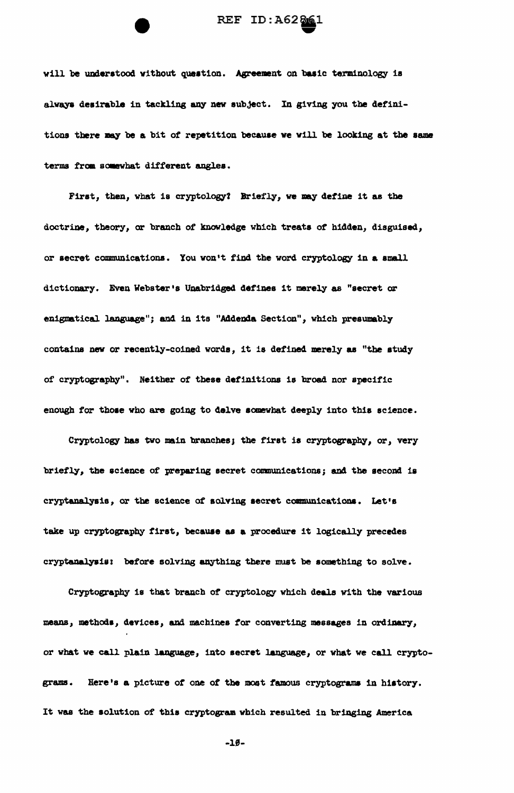

will be understood without question. Agreement on basic terminology is always desirable in tackling any new subject. In giving you the definitions there may be a bit of repetition because we will be looking at the same terms from somewhat different angles.

First, then, what is cryptology? Briefly, we may define it as the doctrine, theory, or branch of knowledge which treats of hidden, disguised, or secret communications. You won't find the word cryptology in a small dictionary. Even Webster's Unabridged defines it merely as "secret or enigmatical language"; and in its "Addenda Section", which presumably contains new or recently-coined words, it is defined merely as "the study of cryptography". Neither of these definitions is broad nor specific enough for those who are going to delve somewhat deeply into this science.

Cryptology has two main branches; the first is cryptography, or, very briefly, the science of preparing secret communications; and the second is cryptanalysis, or the science of solving secret communications. Let's take up cryptography first, because as a procedure it logically precedes cryptanalysis: before solving anything there must be something to solve.

Cryptography is that branch of cryptology which deals with the various means, methods, devices, and machines for converting messages in ordinary, or what we call plain language, into secret language, or what we call crypto-Here's a picture of one of the most famous cryptograms in history. grams. It was the solution of this cryptogram which resulted in bringing America

 $-19-$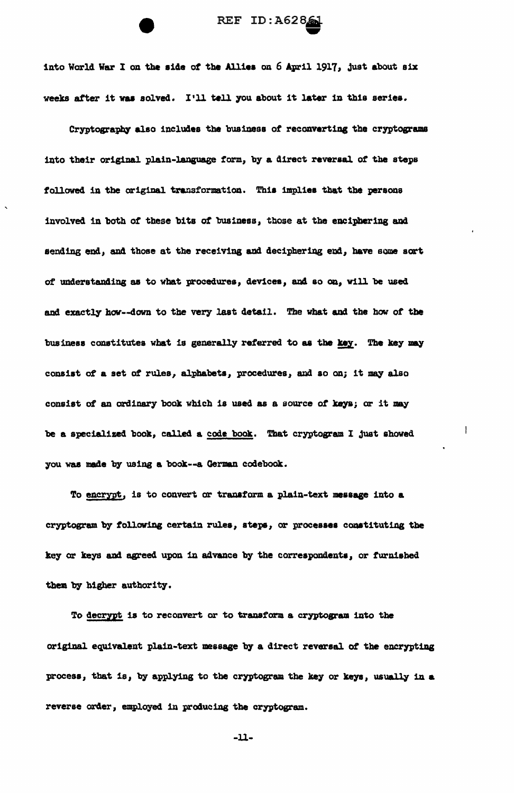

into World War I on the side of the Allies on 6 April 1917, just about six weeks after it was solved. I'll tell you about it later in this series.

Cryptography also includes the business of reconverting the cryptograms into their original plain-language form, by a direct reversal of the steps followed in the original transformation. This implies that the persons involved in both of these bits of business, those at the enciphering and sending end, and those at the receiving and deciphering end, have some sort of understanding as to what procedures, devices, and so on, will be used and exactly how--down to the very last detail. The what and the how of the business constitutes what is generally referred to as the key. The key may consist of a set of rules, alphabets, procedures, and so on; it may also consist of an ordinary book which is used as a source of keys; or it may be a specialized book, called a code book. That cryptogram I just showed you was made by using a book--a German codebook.

To encrypt, is to convert or transform a plain-text message into a cryptogram by following certain rules, steps, or processes constituting the key or keys and agreed upon in advance by the correspondents, or furnished them by higher authority.

To decrypt is to reconvert or to transform a cryptogram into the original equivalent plain-text message by a direct reversal of the encrypting process, that is, by applying to the cryptogram the key or keys, usually in a reverse order, employed in producing the cryptogram.

 $-11-$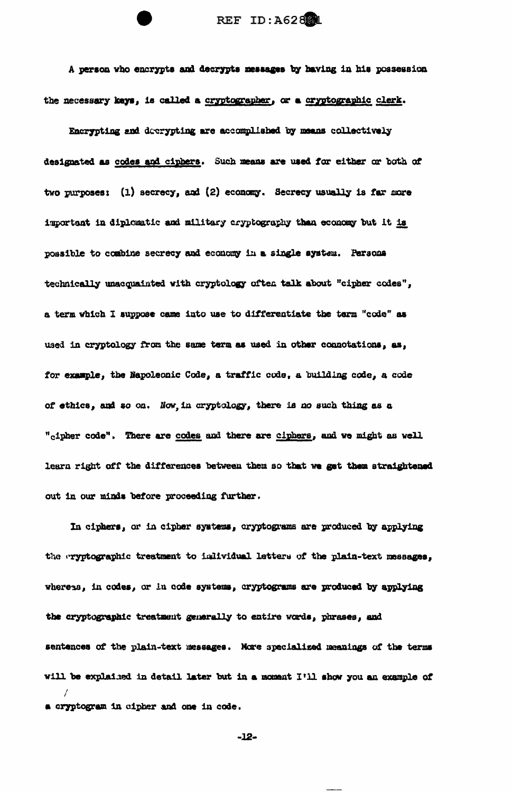REF ID: A628

A person who encrypts and decrypts messages by having in his possession the necessary keys, is called a cryptographer, or a cryptographic clerk.

Encrypting and decrypting are accomplished by means collectively designated as codes and ciphers. Such means are used for either or both of two purposes: (1) secrecy, and (2) economy. Secrecy usually is far more important in diplomatic and military cryptography than economy but it is possible to combine secrecy and economy in a single system. Persona technically unacquainted with cryptology often talk about "cipher codes", a term which I suppose came into use to differentiate the term "code" as used in cryptology from the same term as used in other connotations, as, for example, the Napoleonic Code, a traffic code, a building code, a code of ethics, and so on. Now, in cryptology, there is no such thing as a "cipher code". There are codes and there are ciphers, and we might as well learn right off the differences between them so that we get them straightened out in our minds before proceeding further.

In ciphers, or in cipher systems, cryptograms are produced by applying the eryptographic treatment to individual letters of the plain-text messages, whereas, in codes, or in code systems, cryptograms are produced by applying the cryptographic treatment generally to entire words, phrases, and sentences of the plain-text messages. More specialized meanings of the terms will be explained in detail later but in a moment I'll show you an example of a cryptogram in cipher and one in code.

 $-12-$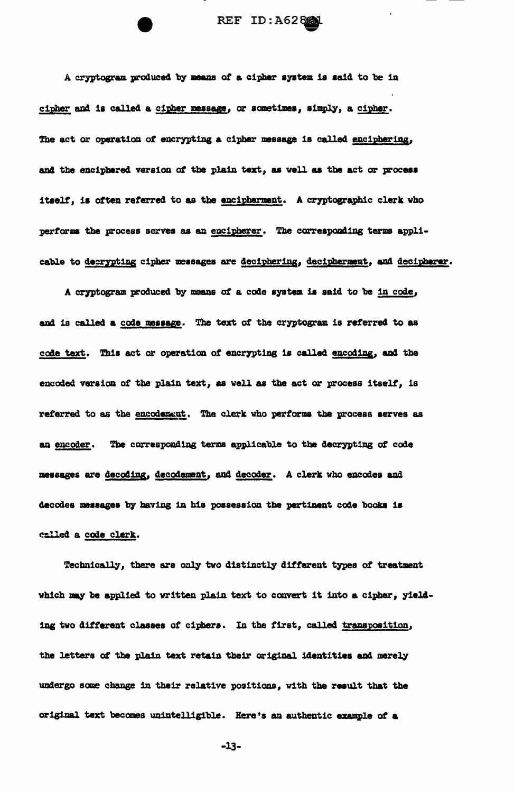A cryptogram produced by means of a cipher system is said to be in cipher and is called a cipher message, or sometimes, simply, a cipher. The act or operation of encrypting a cipher message is called enciphering, and the enciphered version of the plain text, as well as the act or process itself, is often referred to as the encipherment. A cryptographic clerk who performs the process serves as an encipherer. The corresponding terms applicable to decrypting cipher messages are deciphering, decipherment, and decipherer.

A cryptogram produced by means of a code system is said to be in code, and is called a code message. The text of the cryptogram is referred to as code text. This act or operation of encrypting is called encoding, and the encoded version of the plain text, as well as the act or process itself, is referred to as the encodement. The clerk who performs the process serves as an encoder. The corresponding terms applicable to the decrypting of code messages are decoding, decodement, and decoder. A clerk who encodes and decodes messages by having in his possession the pertinent code books is called a code clerk.

Technically, there are only two distinctly different types of treatment which may be applied to written plain text to convert it into a cipher, yielding two different classes of ciphers. In the first, called transposition, the letters of the plain text retain their original identities and merely undergo some change in their relative positions, with the result that the original text becomes unintelligible. Here's an authentic example of a

 $-13-$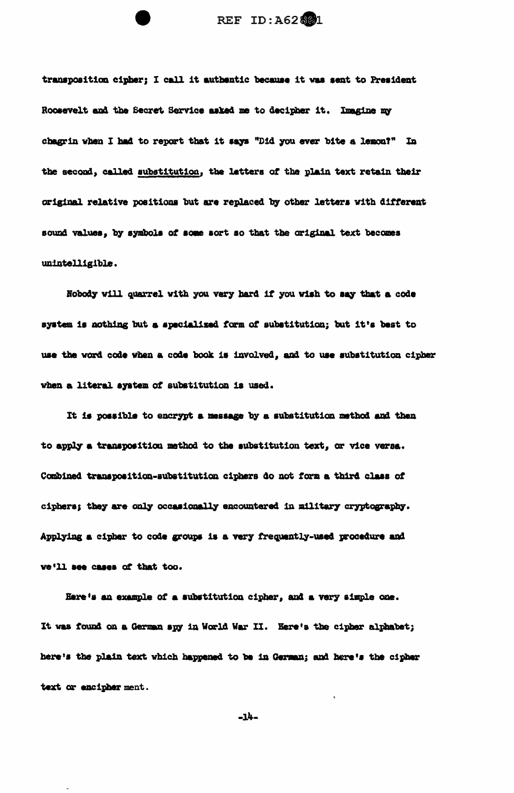transposition cipher; I call it authentic because it was sent to President Roosevelt and the Secret Service asked me to decipher it. Imagine my chagrin when I had to report that it says "Did you ever bite a lemon?" In the second, called substitution, the letters of the plain text retain their original relative positions but are replaced by other letters with different sound values, by symbols of some sort so that the original text becomes unintelligible.

Nobody will quarrel with you very hard if you wish to say that a code system is nothing but a specialized form of substitution; but it's best to use the word code when a code book is involved, and to use substitution cipher when a literal system of substitution is used.

It is possible to encrypt a message by a substitution method and then to apply a transposition method to the substitution text, or vice versa. Combined transposition-substitution ciphers do not form a third class of ciphers; they are only occasionally encountered in military cryptography. Applying a cipher to code groups is a very frequently-used procedure and we'll see cases of that too.

Here's an example of a substitution cipher, and a very simple one. It was found on a German spy in World War II. Here's the cipher alphabet; here's the plain text which happened to be in German; and here's the cipher text or encipher ment.

 $-14-$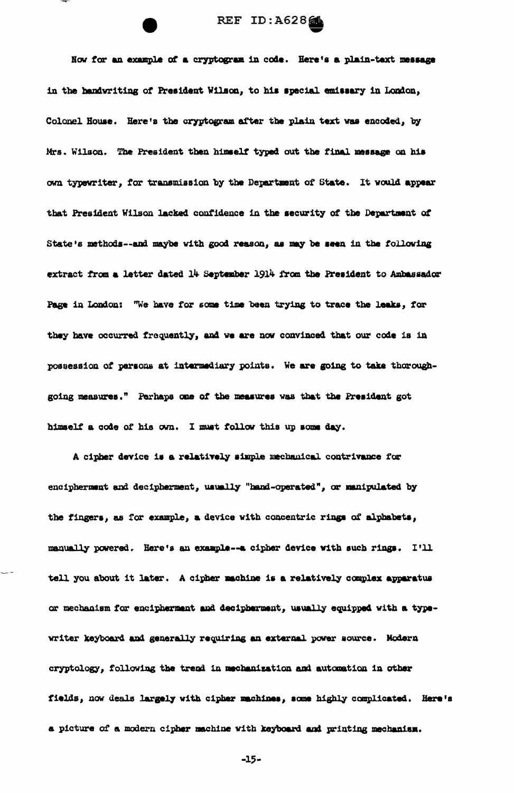REF ID:A62861

Now for an example of a cryptogram in code. Here's a plain-text message in the handwriting of President Wilson, to his special emissary in London, Colonel House. Here's the cryptogram after the plain text was encoded, by Mrs. Wilson. The President then himself typed out the final message on his own typewriter, for transmission by the Department of State. It would appear that President Wilson lacked confidence in the security of the Department of State's methods--and maybe with good reason, as may be seen in the following extract from a letter dated 14 September 1914 from the President to Ambassador Page in London: "We have for some time been trying to trace the leaks, for they have occurred frequently, and we are now convinced that our code is in possession of persons at intermediary points. We are going to take thoroughgoing measures." Perhaps one of the measures was that the President got himself a code of his own. I must follow this up some day.

A cipher device is a relatively simple mechanical contrivance for encipherment and decipherment, usually "hand-operated", or manipulated by the fingers, as for example, a device with concentric rings of alphabets, manually powered. Here's an example -- a cipher device with such rings. I'll tell you about it later. A cipher machine is a relatively complex apparatus or mechanism for encipherment and decipherment, usually equipped with a typewriter keyboard and generally requiring an external power source. Modern cryptology, following the trend in mechanization and automation in other fields, now deals largely with cipher machines, some highly complicated. Here's a picture of a modern cipher machine with keyboard and printing mechanism.

 $-15-$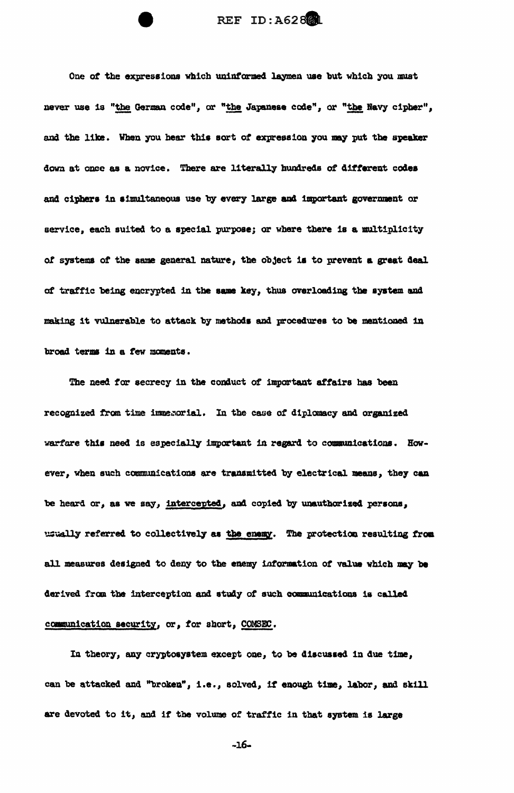REF ID: A628

One of the expressions which uninformed laymen use but which you must never use is "the German code", or "the Japanese code", or "the Navy cipher", and the like. When you hear this sort of expression you may put the speaker down at once as a novice. There are literally hundreds of different codes and ciphers in simultaneous use by every large and important government or service, each suited to a special purpose; or where there is a multiplicity of systems of the same general nature, the object is to prevent a great deal of traffic being encrypted in the same key, thus overloading the system and making it vulnerable to attack by methods and procedures to be mentioned in broad terms in a few moments.

The need for secrecy in the conduct of important affairs has been recognized from time immerorial. In the case of diplomacy and organized warfare this need is especially important in regard to communications. However, when such communications are transmitted by electrical means, they can be heard or, as we say, intercepted, and copied by unauthorized persons, usually referred to collectively as the enemy. The protection resulting from all measures designed to deny to the enemy information of value which may be derived from the interception and study of such communications is called communication security, or, for short, COMSEC.

In theory, any cryptosystem except one, to be discussed in due time, can be attacked and "broken", i.e., solved, if enough time, labor, and skill are devoted to it, and if the volume of traffic in that system is large

 $-16-$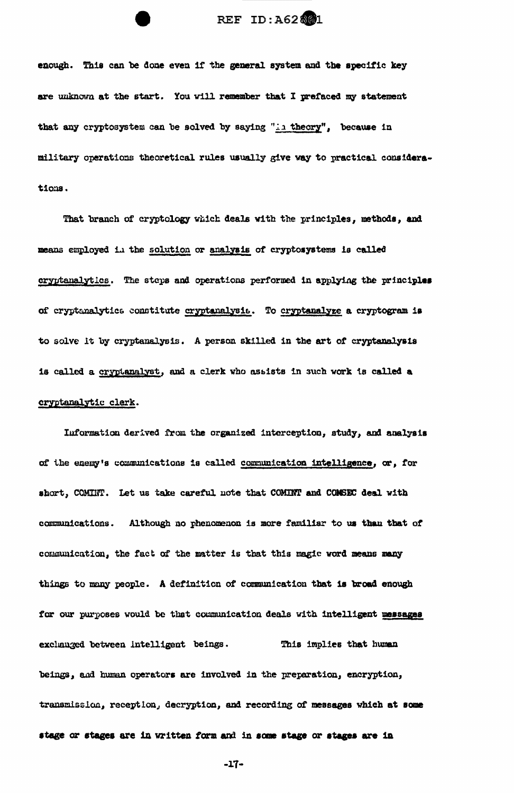## REF ID:A62801

enough. This can be done even if the general system and the specific key are unknown at the start. You will remember that I prefaced my statement that any cryptosystem can be solved by saying "in theory", because in military operations theoretical rules usually give way to practical considerations.

That branch of cryptology which deals with the principles, methods, and means employed in the solution or analysis of cryptosystems is called cryptanalytics. The steps and operations performed in applying the principles of cryptanalytics constitute cryptanalysis. To cryptanalyze a cryptogram is to solve it by cryptanalysis. A person skilled in the art of cryptanalysis is called a cryptanalyst, and a clerk who assists in such work is called a cryptanalytic clerk.

Information derived from the organized interception, study, and analysis of the enemy's communications is called communication intelligence, or, for short, COMINT. Let us take careful note that COMINT and COMSEC deal with communications. Although no phenomenon is more familiar to us than that of communication, the fact of the matter is that this magic word means many things to many people. A definition of communication that is broad enough for our purposes would be that communication deals with intelligent messages exclunged between intelligent beings. This implies that human beings, and human operators are involved in the preparation, encryption, transmission, reception, decryption, and recording of messages which at some stage or stages are in written form and in some stage or stages are in

 $-17-$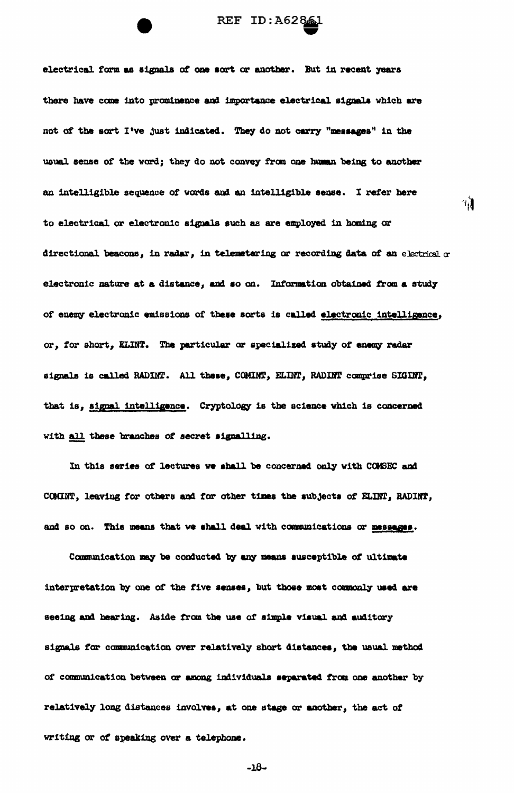

electrical form as signals of one sort or another. But in recent years there have come into prominence and importance electrical signals which are not of the sort I've just indicated. They do not carry "messages" in the usual sense of the word; they do not convey from one human being to another an intelligible sequence of words and an intelligible sense. I refer here to electrical or electronic signals such as are employed in homing or directional beacons, in radar, in telemetering or recording data of an electrical or electronic nature at a distance, and so on. Information obtained from a study of enemy electronic emissions of these sorts is called electronic intelligence, or, for short, ELINT. The particular or specialized study of enemy radar signals is called RADINT. All these, COMINT, ELINT, RADINT comprise SIGINT, that is, signal intelligance. Cryptology is the science which is concerned with all these branches of secret signalling.

ារ្វ

In this series of lectures we shall be concerned only with COMSEC and COMINT, leaving for others and for other times the subjects of ELINT, RADINT, and so on. This means that we shall deal with communications or messages.

Communication may be conducted by any means susceptible of ultimate interpretation by one of the five senses, but those most commonly used are seeing and hearing. Aside from the use of simple visual and auditory signals for communication over relatively short distances, the usual method of communication between or among individuals separated from one another by relatively long distances involves, at one stage or another, the act of writing or of speaking over a telephone.

 $-18-$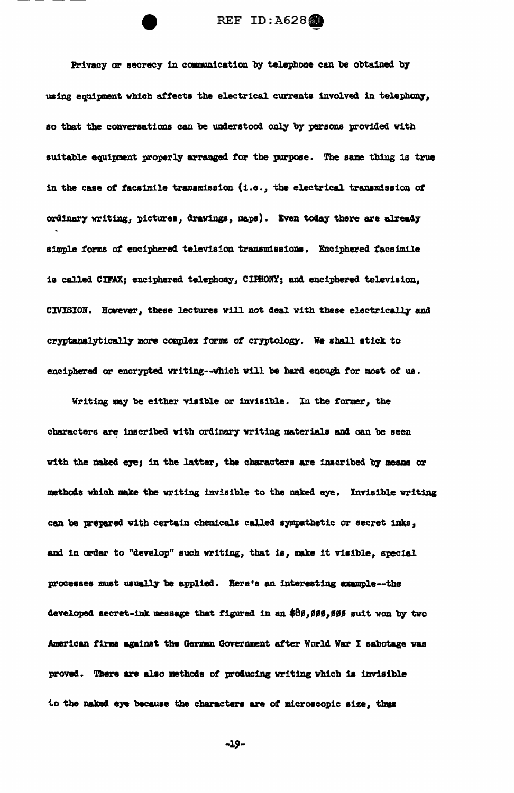Privacy or secrecy in communication by telephone can be obtained by using equipment which affects the electrical currents involved in telephony, so that the conversations can be understood only by persons provided with suitable equipment properly arranged for the purpose. The same thing is true in the case of facsimile transmission (i.e., the electrical transmission of ordinary writing, pictures, drawings, maps). Even today there are already simple forms of enciphered television transmissions. Enciphered facsimile is called CIFAX; enciphered telephony, CIFHONY; and enciphered television, CIVISION. However, these lectures will not deal with these electrically and cryptanalytically more complex forms of cryptology. We shall stick to enciphered or encrypted writing--which will be hard enough for most of us.

Writing may be either visible or invisible. In the former, the characters are inscribed with ordinary writing materials and can be seen with the naked eye; in the latter, the characters are inscribed by means or methods which make the writing invisible to the naked eye. Invisible writing can be prepared with certain chemicals called sympathetic or secret inks, and in order to "develop" such writing, that is, make it visible, special processes must usually be applied. Here's an interesting example--the developed secret-ink message that figured in an \$86,066,006 suit won by two American firms against the German Government after World War I sabotage was proved. There are also methods of producing writing which is invisible to the naked eye because the characters are of microscopic size, thus

-19-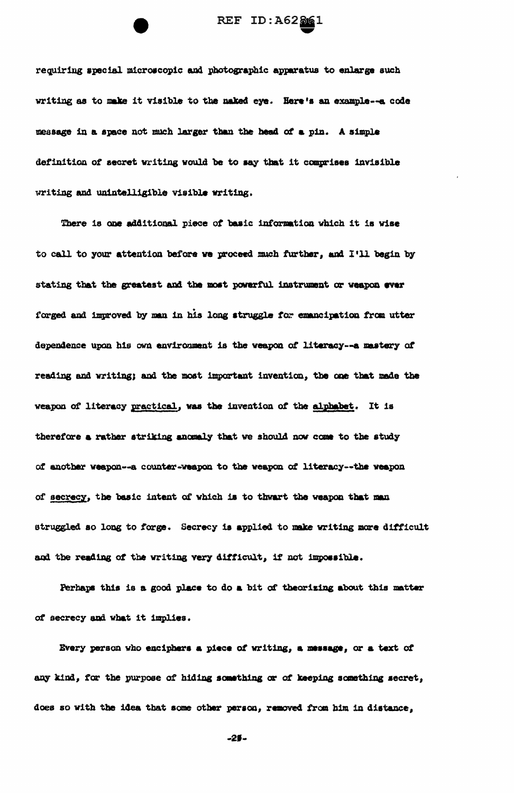requiring special microscopic and photographic apparatus to enlarge such writing as to make it visible to the naked eye. Here's an example--a code message in a space not much larger than the head of a pin. A simple definition of secret writing would be to say that it comprises invisible writing and unintalligible visible writing.

There is one additional piece of basic information which it is wise to call to your attention before we proceed much further, and I'll begin by stating that the greatest and the most powerful instrument or weapon ever forged and improved by man in his long struggle for emancipation from utter dependence upon his own environment is the weapon of literacy--a mastery of reading and writing; and the most important invention, the one that made the weapon of literacy practical, was the invention of the alphabet. It is therefore a rather striking anomaly that we should now come to the study of another weapon--a counter-weapon to the weapon of literacy--the weapon of secrecy, the basic intent of which is to thwart the weapon that man struggled so long to forge. Secrecy is applied to make writing more difficult and the reading of the writing very difficult, if not impossible.

Ferhaps this is a good place to do a bit of theorizing about this matter of secrecy and what it implies.

Every person who enciphers a piece of writing, a message, or a text of any kind, for the purpose of hiding something or of keeping something secret, does so with the idea that some other person, removed from him in distance,

 $-29-$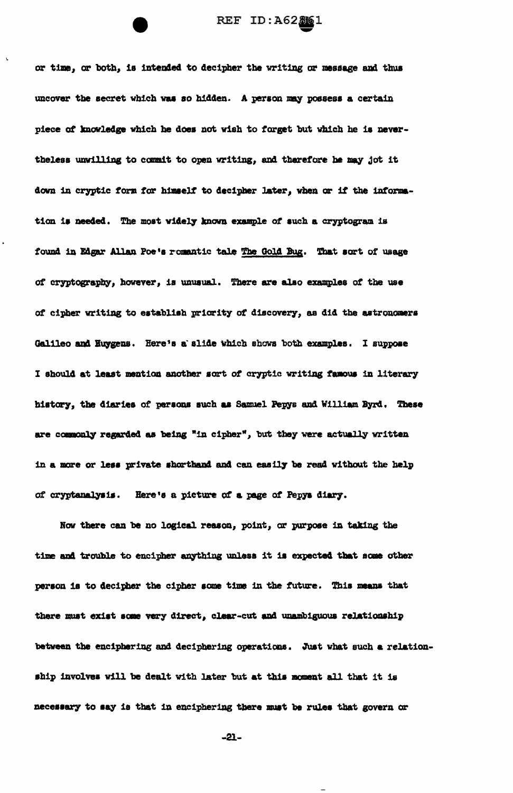or time, or both, is intended to decipher the writing or message and thus uncover the secret which was so hidden. A person may possess a certain piece of knowledge which he does not wish to forget but which he is nevertheless unwilling to commit to open writing, and therefore he may jot it down in cryptic form for himself to decipher later, when or if the information is needed. The most widely known example of such a cryptogram is found in Edgar Allan Poe's romantic tale The Gold Bug. That sort of usage of cryptography, however, is unusual. There are also examples of the use of cipher writing to establish priority of discovery, as did the astronomers Galileo and Huygens. Here's a slide which shows both examples. I suppose I should at least mention another sort of cryptic writing famous in literary history, the diaries of persons such as Samuel Pepys and William Byrd. These are commonly regarded as being "in cipher", but they were actually written in a more or less private shorthand and can easily be read without the help of cryptanalysis. Here's a picture of a page of Pepys diary.

Now there can be no logical reason, point, or purpose in taking the time and trouble to encipher anything unless it is expected that some other person is to decipher the cipher some time in the future. This means that there must exist some very direct, clear-cut and unambiguous relationship between the enciphering and deciphering operations. Just what such a relationship involves will be dealt with later but at this moment all that it is necessary to say is that in enciphering there must be rules that govern or

 $-21-$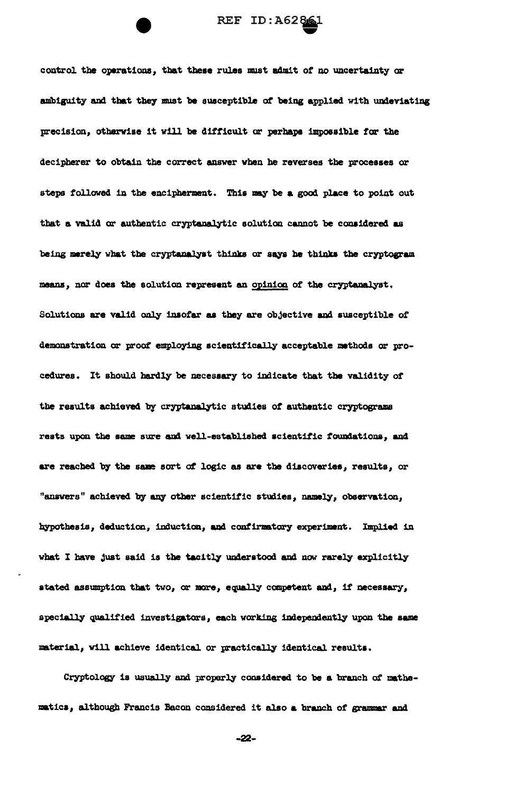control the operations, that these rules must admit of no uncertainty or ambiguity and that they must be susceptible of being applied with undeviating precision, otherwise it will be difficult or perhaps impossible for the decipherer to obtain the correct answer when he reverses the processes or steps followed in the encipherment. This may be a good place to point out that a valid or authentic cryptanalytic solution cannot be considered as being merely what the cryptanalyst thinks or says he thinks the cryptogram means, nor does the solution represent an opinion of the cryptanalyst. Solutions are valid only insofar as they are objective and susceptible of demonstration or proof employing scientifically acceptable methods or procedures. It should hardly be necessary to indicate that the validity of the results achieved by cryptanalytic studies of authentic cryptograms rests upon the same sure and well-established scientific foundations, and are reached by the same sort of logic as are the discoveries, results, or "answers" achieved by any other scientific studies, namely, observation, hypothesis, deduction, induction, and confirmatory experiment. Implied in what I have just said is the tacitly understood and now rarely explicitly stated assumption that two, or more, equally competent and, if necessary, specially qualified investigators, each working independently upon the same material, will achieve identical or practically identical results.

Cryptology is usually and properly considered to be a branch of mathematics, although Francis Bacon considered it also a branch of grammar and

 $-22-$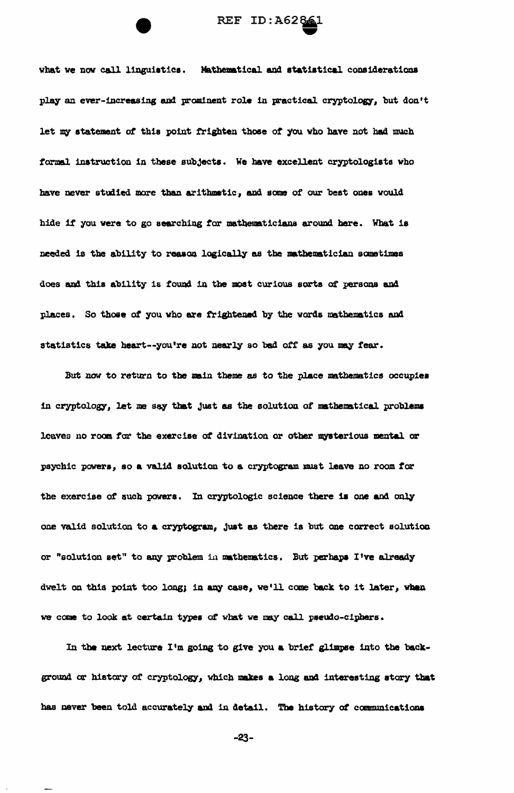

what we now call linguistics. Mathematical and statistical considerations play an ever-increasing and prominent role in practical cryptology, but don't let my statement of this point frighten those of you who have not had much formal instruction in these subjects. We have excellent cryptologists who have never studied more than arithmetic, and some of our best ones would hide if you were to go searching for mathematicians around here. What is needed is the ability to reason logically as the mathematician sometimes does and this ability is found in the most curious sorts of persons and places. So those of you who are frightened by the words mathematics and statistics take heart--you're not nearly so bad off as you may fear.

But now to return to the main theme as to the place mathematics occupies in cryptology, let me say that just as the solution of mathematical problems leaves no room for the exercise of divination or other mysterious mental or psychic powers, so a valid solution to a cryptogram must leave no room for the exercise of such powers. In cryptologic science there is one and only one valid solution to a cryptogram, just as there is but one correct solution or "solution set" to any problem in mathematics. But perhaps I've already dwelt on this point too long; in any case, we'll come back to it later, when we come to look at certain types of what we may call pseudo-ciphers.

In the next lecture I'm going to give you a brief glimpse into the background or history of cryptology, which makes a long and interesting story that has never been told accurately and in detail. The history of communications

-23-